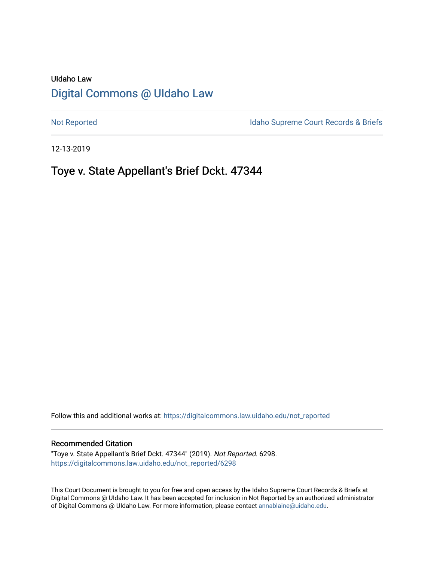## UIdaho Law [Digital Commons @ UIdaho Law](https://digitalcommons.law.uidaho.edu/)

[Not Reported](https://digitalcommons.law.uidaho.edu/not_reported) **Idaho Supreme Court Records & Briefs** 

12-13-2019

# Toye v. State Appellant's Brief Dckt. 47344

Follow this and additional works at: [https://digitalcommons.law.uidaho.edu/not\\_reported](https://digitalcommons.law.uidaho.edu/not_reported?utm_source=digitalcommons.law.uidaho.edu%2Fnot_reported%2F6298&utm_medium=PDF&utm_campaign=PDFCoverPages) 

#### Recommended Citation

"Toye v. State Appellant's Brief Dckt. 47344" (2019). Not Reported. 6298. [https://digitalcommons.law.uidaho.edu/not\\_reported/6298](https://digitalcommons.law.uidaho.edu/not_reported/6298?utm_source=digitalcommons.law.uidaho.edu%2Fnot_reported%2F6298&utm_medium=PDF&utm_campaign=PDFCoverPages)

This Court Document is brought to you for free and open access by the Idaho Supreme Court Records & Briefs at Digital Commons @ UIdaho Law. It has been accepted for inclusion in Not Reported by an authorized administrator of Digital Commons @ UIdaho Law. For more information, please contact [annablaine@uidaho.edu](mailto:annablaine@uidaho.edu).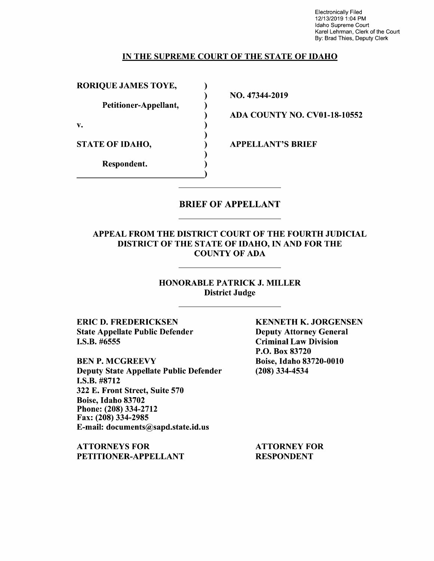Electronically Filed 12/13/2019 1 :04 PM Idaho Supreme Court Karel Lehrman, Clerk of the Court By: Brad Thies, Deputy Clerk

### IN THE SUPREME COURT OF THE STATE OF IDAHO

) ) ) ) ) ) ) ) )

RORIQUE JAMES TOYE,

Petitioner-Appellant,

**v.** 

STATE OF IDAHO,

Respondent.

NO. 47344-2019

ADA COUNTY NO. CV0l-18-10552

APPELLANT'S BRIEF

### BRIEF OF APPELLANT

### APPEAL FROM THE DISTRICT COURT OF THE FOURTH JUDICIAL DISTRICT OF THE STATE OF IDAHO, IN AND FOR THE COUNTY OF ADA

HONORABLE PATRICK J. MILLER District Judge

ERIC D. FREDERICKSEN State Appellate Public Defender I.S.B. #6555

BEN P. MCGREEVY Deputy State Appellate Public Defender I.S.B. #8712 322 E. Front Street, Suite 570 Boise, Idaho 83702 Phone:(208)334-2712 Fax: (208) 334-2985 E-mail: documents@sapd.state.id.us

ATTORNEYS FOR PETITIONER-APPELLANT KENNETH K. JORGENSEN Deputy Attorney General Criminal Law Division P.O. Box 83720 Boise, Idaho 83720-0010 (208) 334-4534

ATTORNEY FOR RESPONDENT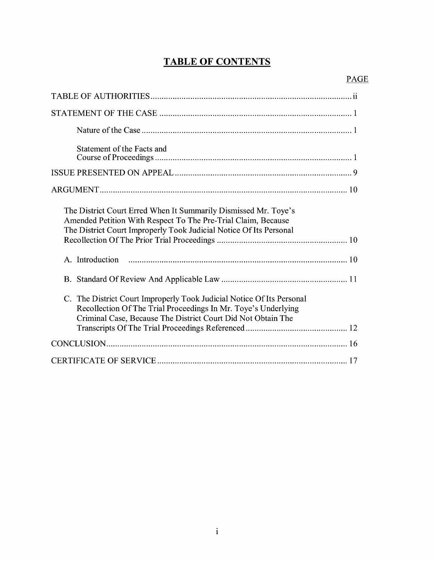# **TABLE OF CONTENTS**

| Statement of the Facts and                                                                                                                                                                                          |
|---------------------------------------------------------------------------------------------------------------------------------------------------------------------------------------------------------------------|
|                                                                                                                                                                                                                     |
|                                                                                                                                                                                                                     |
| The District Court Erred When It Summarily Dismissed Mr. Toye's<br>Amended Petition With Respect To The Pre-Trial Claim, Because<br>The District Court Improperly Took Judicial Notice Of Its Personal              |
| A. Introduction                                                                                                                                                                                                     |
|                                                                                                                                                                                                                     |
| The District Court Improperly Took Judicial Notice Of Its Personal<br>$C_{\cdot}$<br>Recollection Of The Trial Proceedings In Mr. Toye's Underlying<br>Criminal Case, Because The District Court Did Not Obtain The |
|                                                                                                                                                                                                                     |
|                                                                                                                                                                                                                     |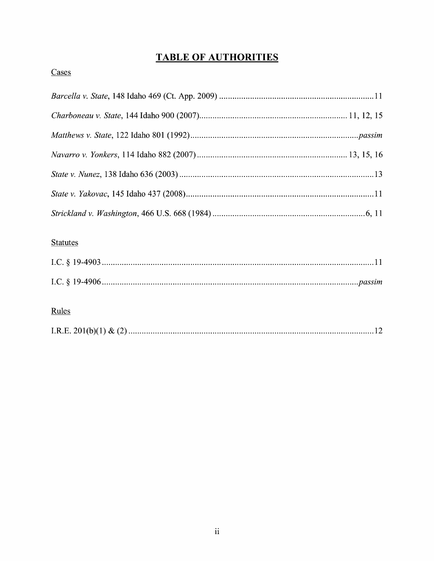# **TABLE OF AUTHORITIES**

# Cases

## **Statutes**

## Rules

|--|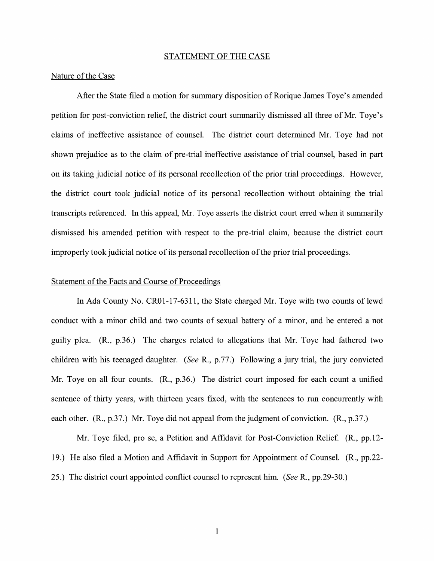#### STATEMENT OF THE CASE

#### Nature of the Case

After the State filed a motion for summary disposition of Rorique James Toye's amended petition for post-conviction relief, the district court summarily dismissed all three of Mr. Toye's claims of ineffective assistance of counsel. The district court determined Mr. Toye had not shown prejudice as to the claim of pre-trial ineffective assistance of trial counsel, based in part on its taking judicial notice of its personal recollection of the prior trial proceedings. However, the district court took judicial notice of its personal recollection without obtaining the trial transcripts referenced. In this appeal, Mr. Toye asserts the district court erred when it summarily dismissed his amended petition with respect to the pre-trial claim, because the district court improperly took judicial notice of its personal recollection of the prior trial proceedings.

#### Statement of the Facts and Course of Proceedings

In Ada County No. CR01-17-6311, the State charged Mr. Toye with two counts of lewd conduct with a minor child and two counts of sexual battery of a minor, and he entered a not guilty plea. (R., p.36.) The charges related to allegations that Mr. Toye had fathered two children with his teenaged daughter. *(See* **R.,** p.77.) Following a jury trial, the jury convicted Mr. Toye on all four counts. **(R.,** p.36.) The district court imposed for each count a unified sentence of thirty years, with thirteen years fixed, with the sentences to run concurrently with each other. **(R.,** p.37.) Mr. Toye did not appeal from the judgment of conviction. **(R.,** p.37.)

Mr. Toye filed, pro se, a Petition and Affidavit for Post-Conviction Relief. **(R.,** pp.12- 19.) He also filed a Motion and Affidavit in Support for Appointment of Counsel. (R., pp.22- 25.) The district court appointed conflict counsel to represent him. *(See* R., pp.29-30.)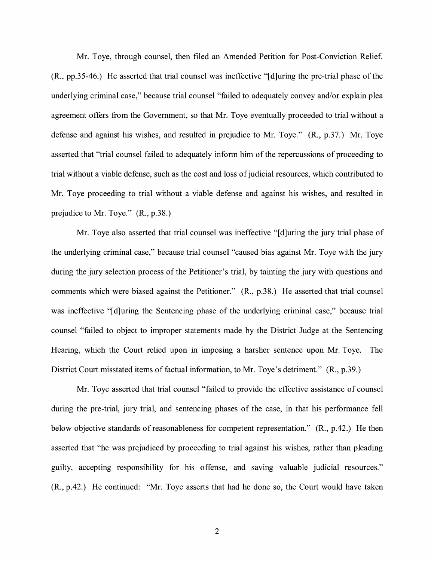Mr. Toye, through counsel, then filed an Amended Petition for Post-Conviction Relief. (R., pp.35-46.) He asserted that trial counsel was ineffective "[d]uring the pre-trial phase of the underlying criminal case," because trial counsel "failed to adequately convey and/or explain plea agreement offers from the Government, so that Mr. Toye eventually proceeded to trial without a defense and against his wishes, and resulted in prejudice to Mr. Toye." (R., p.37.) Mr. Toye asserted that "trial counsel failed to adequately inform him of the repercussions of proceeding to trial without a viable defense, such as the cost and loss of judicial resources, which contributed to Mr. Toye proceeding to trial without a viable defense and against his wishes, and resulted in prejudice to Mr. Toye." (R., p.38.)

Mr. Toye also asserted that trial counsel was ineffective "[d]uring the jury trial phase of the underlying criminal case," because trial counsel "caused bias against Mr. Toye with the jury during the jury selection process of the Petitioner's trial, by tainting the jury with questions and comments which were biased against the Petitioner." (R., p.38.) He asserted that trial counsel was ineffective "[d]uring the Sentencing phase of the underlying criminal case," because trial counsel "failed to object to improper statements made by the District Judge at the Sentencing Hearing, which the Court relied upon in imposing a harsher sentence upon Mr. Toye. The District Court misstated items of factual information, to Mr. Toye's detriment." (R., p.39.)

Mr. Toye asserted that trial counsel "failed to provide the effective assistance of counsel during the pre-trial, jury trial, and sentencing phases of the case, in that his performance fell below objective standards of reasonableness for competent representation." (R., p.42.) He then asserted that "he was prejudiced by proceeding to trial against his wishes, rather than pleading guilty, accepting responsibility for his offense, and saving valuable judicial resources." (R., p.42.) He continued: "Mr. Toye asserts that had he done so, the Court would have taken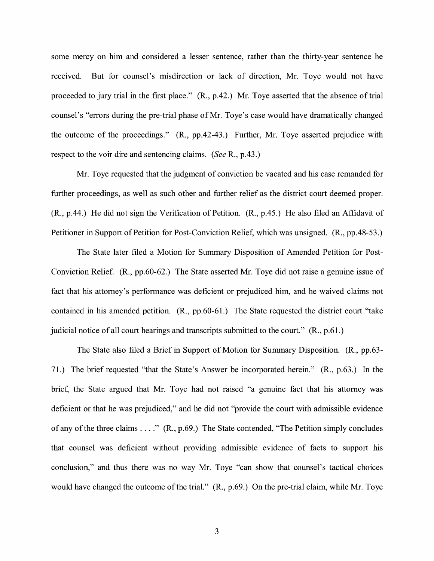some mercy on him and considered a lesser sentence, rather than the thirty-year sentence he received. But for counsel's misdirection or lack of direction, Mr. Toye would not have proceeded to jury trial in the first place." **(R.,** p.42.) Mr. Toye asserted that the absence of trial counsel's "errors during the pre-trial phase of Mr. Toye's case would have dramatically changed the outcome of the proceedings." **(R.,** pp.42-43.) Further, Mr. Toye asserted prejudice with respect to the voir dire and sentencing claims. *(See* R., p.43.)

Mr. Toye requested that the judgment of conviction be vacated and his case remanded for further proceedings, as well as such other and further relief as the district court deemed proper. **(R.,** p.44.) He did not sign the Verification of Petition. **(R.,** p.45.) He also filed an Affidavit of Petitioner in Support of Petition for Post-Conviction Relief, which was unsigned. (R., pp.48-53.)

The State later filed a Motion for Summary Disposition of Amended Petition for Post-Conviction Relief. (R., pp.60-62.) The State asserted Mr. Toye did not raise a genuine issue of fact that his attorney's performance was deficient or prejudiced him, and he waived claims not contained in his amended petition. **(R.,** pp.60-61.) The State requested the district court "take judicial notice of all court hearings and transcripts submitted to the court." **(R.,** p.61.)

The State also filed a Brief in Support of Motion for Summary Disposition. **(R.,** pp.63- 71.) The brief requested "that the State's Answer be incorporated herein." **(R.,** p.63.) In the brief, the State argued that Mr. Toye had not raised "a genuine fact that his attorney was deficient or that he was prejudiced," and he did not "provide the court with admissible evidence of any of the three claims .... " (R., p.69.) The State contended, "The Petition simply concludes that counsel was deficient without providing admissible evidence of facts to support his conclusion," and thus there was no way Mr. Toye "can show that counsel's tactical choices would have changed the outcome of the trial." (R., p.69.) On the pre-trial claim, while Mr. Toye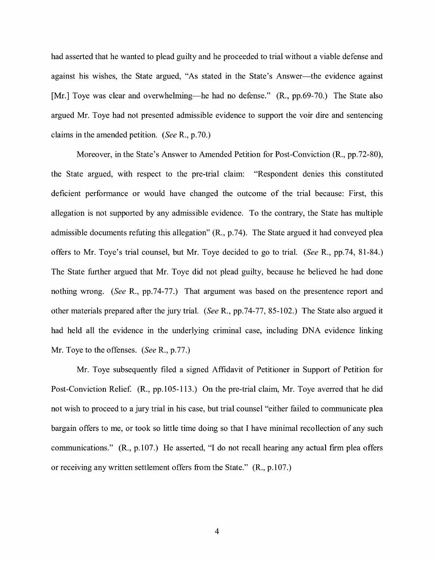had asserted that he wanted to plead guilty and he proceeded to trial without a viable defense and against his wishes, the State argued, "As stated in the State's Answer-the evidence against [Mr.] Toye was clear and overwhelming—he had no defense." (R., pp.69-70.) The State also argued Mr. Toye had not presented admissible evidence to support the voir dire and sentencing claims in the amended petition. *(See* R., p.70.)

Moreover, in the State's Answer to Amended Petition for Post-Conviction (R., pp.72-80), the State argued, with respect to the pre-trial claim: "Respondent denies this constituted deficient performance or would have changed the outcome of the trial because: First, this allegation is not supported by any admissible evidence. To the contrary, the State has multiple admissible documents refuting this allegation" (R., p.74). The State argued it had conveyed plea offers to Mr. Toye's trial counsel, but Mr. Toye decided to go to trial. *(See* R., pp.74, 81-84.) The State further argued that Mr. Toye did not plead guilty, because he believed he had done nothing wrong. *(See* R., pp.74-77.) That argument was based on the presentence report and other materials prepared after the jury trial. *(See* R., pp.74-77, 85-102.) The State also argued it had held all the evidence in the underlying criminal case, including DNA evidence linking Mr. Toye to the offenses. *(See* R., p.77.)

Mr. Toye subsequently filed a signed Affidavit of Petitioner in Support of Petition for Post-Conviction Relief. (R., pp.105-113.) On the pre-trial claim, Mr. Toye averred that he did not wish to proceed to a jury trial in his case, but trial counsel "either failed to communicate plea bargain offers to me, or took so little time doing so that I have minimal recollection of any such communications." (R., p.107.) He asserted, "I do not recall hearing any actual firm plea offers or receiving any written settlement offers from the State." (R., p.107.)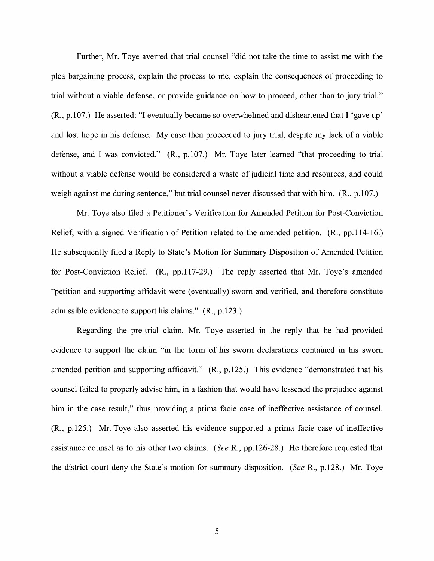Further, Mr. Toye averred that trial counsel "did not take the time to assist me with the plea bargaining process, explain the process to me, explain the consequences of proceeding to trial without a viable defense, or provide guidance on how to proceed, other than to jury trial." (R., p.107.) He asserted: "I eventually became so overwhelmed and disheartened that I 'gave up' and lost hope in his defense. My case then proceeded to jury trial, despite my lack of a viable defense, and I was convicted." (R., p.107.) Mr. Toye later learned "that proceeding to trial without a viable defense would be considered a waste of judicial time and resources, and could weigh against me during sentence," but trial counsel never discussed that with him. (R., p.107.)

Mr. Toye also filed a Petitioner's Verification for Amended Petition for Post-Conviction Relief, with a signed Verification of Petition related to the amended petition. (R., pp.114-16.) He subsequently filed a Reply to State's Motion for Summary Disposition of Amended Petition for Post-Conviction Relief. (R., pp.117-29.) The reply asserted that Mr. Toye's amended "petition and supporting affidavit were ( eventually) sworn and verified, and therefore constitute admissible evidence to support his claims." (R., p.123.)

Regarding the pre-trial claim, Mr. Toye asserted in the reply that he had provided evidence to support the claim "in the form of his sworn declarations contained in his sworn amended petition and supporting affidavit." (R., p.125.) This evidence "demonstrated that his counsel failed to properly advise him, in a fashion that would have lessened the prejudice against him in the case result," thus providing a prima facie case of ineffective assistance of counsel. (R., p.125.) Mr. Toye also asserted his evidence supported a prima facie case of ineffective assistance counsel as to his other two claims. *(See* R., pp.126-28.) He therefore requested that the district court deny the State's motion for summary disposition. *(See* R., p.128.) Mr. Toye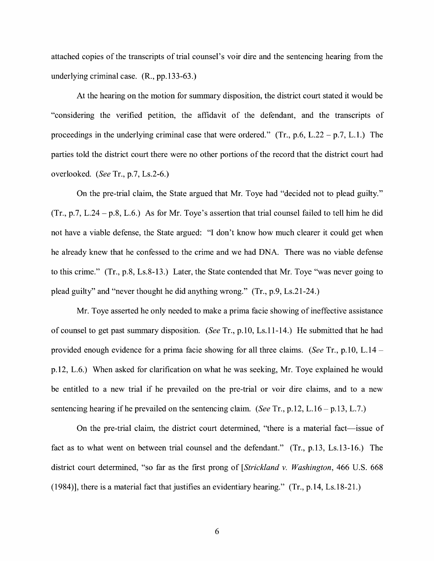attached copies of the transcripts of trial counsel's voir dire and the sentencing hearing from the underlying criminal case. (R., pp.133-63.)

At the hearing on the motion for summary disposition, the district court stated it would be "considering the verified petition, the affidavit of the defendant, and the transcripts of proceedings in the underlying criminal case that were ordered."  $(Tr., p.6, L.22 - p.7, L.1)$  The parties told the district court there were no other portions of the record that the district court had overlooked. *(See* Tr., p.7, Ls.2-6.)

On the pre-trial claim, the State argued that Mr. Toye had "decided not to plead guilty."  $(Tr., p.7, L.24 - p.8, L.6.)$  As for Mr. Toye's assertion that trial counsel failed to tell him he did not have a viable defense, the State argued: "I don't know how much clearer it could get when he already knew that he confessed to the crime and we had DNA. There was no viable defense to this crime." (Tr., p.8, Ls.8-13.) Later, the State contended that Mr. Toye "was never going to plead guilty" and "never thought he did anything wrong." (Tr., p.9, Ls.21-24.)

Mr. Toye asserted he only needed to make a prima facie showing of ineffective assistance of counsel to get past summary disposition. *(See* Tr., p.10, Ls.11-14.) He submitted that he had provided enough evidence for a prima facie showing for all three claims. *(See* Tr., p.10, L.14 p.12, L.6.) When asked for clarification on what he was seeking, Mr. Toye explained he would be entitled to a new trial if he prevailed on the pre-trial or voir dire claims, and to a new sentencing hearing if he prevailed on the sentencing claim. *(See Tr., p.12, L.16 – p.13, L.7.)* 

On the pre-trial claim, the district court determined, "there is a material fact—issue of fact as to what went on between trial counsel and the defendant." (Tr., p.13, Ls.13-16.) The district court determined, "so far as the first prong of *[Strickland v. Washington,* 466 U.S. 668 (1984)], there is a material fact that justifies an evidentiary hearing." (Tr., p.14, Ls.18-21.)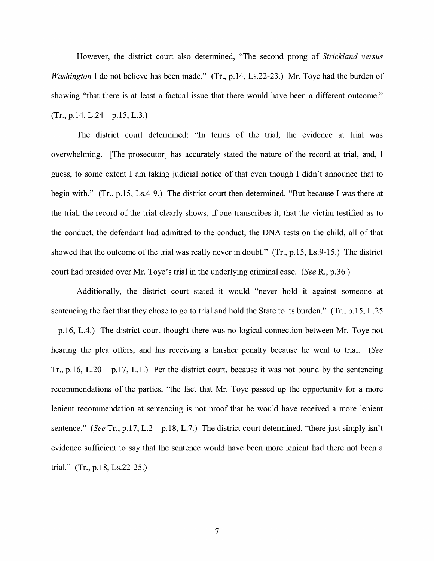However, the district court also determined, "The second prong of *Strickland versus Washington* I do not believe has been made." (Tr., p.14, Ls.22-23.) Mr. Toye had the burden of showing "that there is at least a factual issue that there would have been a different outcome."  $(Tr., p.14, L.24-p.15, L.3.)$ 

The district court determined: "In terms of the trial, the evidence at trial was overwhelming. [The prosecutor] has accurately stated the nature of the record at trial, and, I guess, to some extent I am taking judicial notice of that even though I didn't announce that to begin with." (Tr., p.15, Ls.4-9.) The district court then determined, "But because I was there at the trial, the record of the trial clearly shows, if one transcribes it, that the victim testified as to the conduct, the defendant had admitted to the conduct, the DNA tests on the child, all of that showed that the outcome of the trial was really never in doubt." (Tr., p.15, Ls.9-15.) The district court had presided over Mr. Toye's trial in the underlying criminal case. *(See* R., p.36.)

Additionally, the district court stated it would "never hold it against someone at sentencing the fact that they chose to go to trial and hold the State to its burden." (Tr., p.15, L.25  $-$  p.16, L.4.) The district court thought there was no logical connection between Mr. Toye not hearing the plea offers, and his receiving a harsher penalty because he went to trial. *(See*  Tr., p.16, L.20 – p.17, L.1.) Per the district court, because it was not bound by the sentencing recommendations of the parties, "the fact that Mr. Toye passed up the opportunity for a more lenient recommendation at sentencing is not proof that he would have received a more lenient sentence." *(See Tr., p.17, L.2 – p.18, L.7.)* The district court determined, "there just simply isn't evidence sufficient to say that the sentence would have been more lenient had there not been a trial." (Tr., p.18, Ls.22-25.)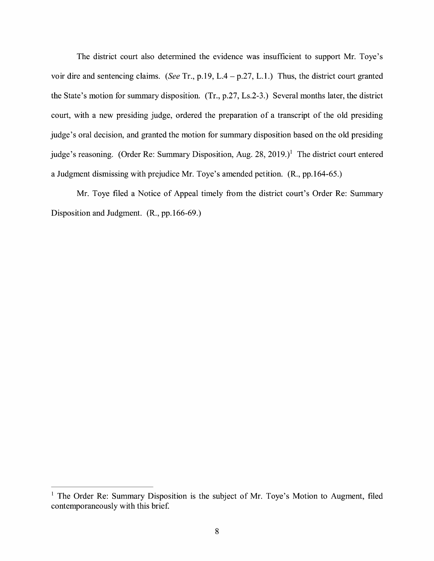The district court also determined the evidence was insufficient to support Mr. Toye's voir dire and sentencing claims. *(See* Tr., p.19, L.4 - p.27, L.1.) Thus, the district court granted the State's motion for summary disposition. (Tr., p.27, Ls.2-3.) Several months later, the district court, with a new presiding judge, ordered the preparation of a transcript of the old presiding judge's oral decision, and granted the motion for summary disposition based on the old presiding judge's reasoning. (Order Re: Summary Disposition, Aug. 28, 2019.)<sup>1</sup> The district court entered a Judgment dismissing with prejudice Mr. Toye's amended petition. (R., pp.164-65.)

Mr. Toye filed a Notice of Appeal timely from the district court's Order Re: Summary Disposition and Judgment. (R., pp.166-69.)

<sup>&</sup>lt;sup>1</sup> The Order Re: Summary Disposition is the subject of Mr. Toye's Motion to Augment, filed contemporaneously with this brief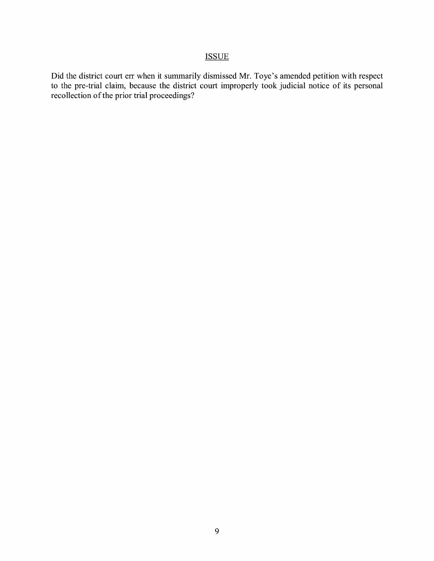## ISSUE

Did the district court err when it summarily dismissed Mr. Toye's amended petition with respect to the pre-trial claim, because the district court improperly took judicial notice of its personal recollection of the prior trial proceedings?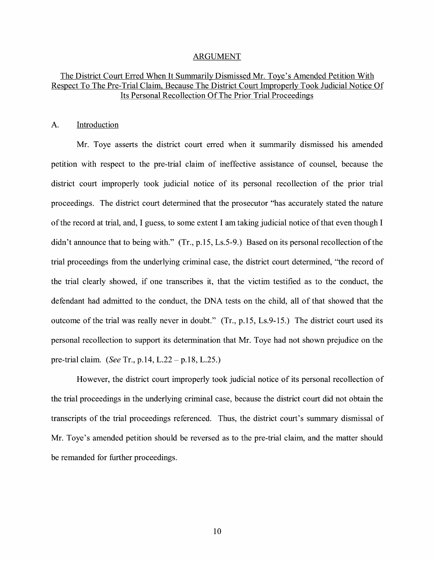#### ARGUMENT

### The District Court Erred When It Summarily Dismissed Mr. Toye's Amended Petition With Respect To The Pre-Trial Claim, Because The District Court Improperly Took Judicial Notice Of Its Personal Recollection Of The Prior Trial Proceedings

#### A. Introduction

Mr. Toye asserts the district court erred when it summarily dismissed his amended petition with respect to the pre-trial claim of ineffective assistance of counsel, because the district court improperly took judicial notice of its personal recollection of the prior trial proceedings. The district court determined that the prosecutor "has accurately stated the nature of the record at trial, and, I guess, to some extent I am taking judicial notice of that even though I didn't announce that to being with." (Tr., p.15, Ls.5-9.) Based on its personal recollection of the trial proceedings from the underlying criminal case, the district court determined, "the record of the trial clearly showed, if one transcribes it, that the victim testified as to the conduct, the defendant had admitted to the conduct, the DNA tests on the child, all of that showed that the outcome of the trial was really never in doubt." (Tr., p.15, Ls.9-15.) The district court used its personal recollection to support its determination that Mr. Toye had not shown prejudice on the pre-trial claim. *(See* Tr., p.14, L.22-p.18, L.25.)

However, the district court improperly took judicial notice of its personal recollection of the trial proceedings in the underlying criminal case, because the district court did not obtain the transcripts of the trial proceedings referenced. Thus, the district court's summary dismissal of Mr. Toye's amended petition should be reversed as to the pre-trial claim, and the matter should be remanded for further proceedings.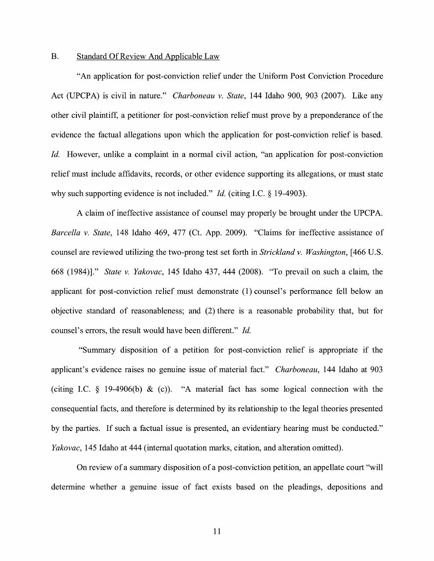#### B. Standard Of Review And Applicable Law

"An application for post-conviction relief under the Uniform Post Conviction Procedure Act (UPCPA) is civil in nature." *Charboneau v. State,* 144 Idaho 900, 903 (2007). Like any other civil plaintiff, a petitioner for post-conviction relief must prove by a preponderance of the evidence the factual allegations upon which the application for post-conviction relief is based. *Id.* However, unlike a complaint in a normal civil action, "an application for post-conviction relief must include affidavits, records, or other evidence supporting its allegations, or must state why such supporting evidence is not included." *Id.* (citing I.C. § 19-4903).

A claim of ineffective assistance of counsel may properly be brought under the UPCPA. *Barcella v. State,* 148 Idaho 469, 477 (Ct. App. 2009). "Claims for ineffective assistance of counsel are reviewed utilizing the two-prong test set forth in *Strickland v. Washington,* [ 466 U.S. 668 (1984)]." *State v. Yakovac,* 145 Idaho 437, 444 (2008). "To prevail on such a claim, the applicant for post-conviction relief must demonstrate (1) counsel's performance fell below an objective standard of reasonableness; and (2) there is a reasonable probability that, but for counsel's errors, the result would have been different." *Id.* 

"Summary disposition of a petition for post-conviction relief is appropriate if the applicant's evidence raises no genuine issue of material fact." *Charboneau,* 144 Idaho at 903 (citing I.C.  $\S$  19-4906(b) & (c)). "A material fact has some logical connection with the consequential facts, and therefore is determined by its relationship to the legal theories presented by the parties. If such a factual issue is presented, an evidentiary hearing must be conducted." *Yakovac,* 145 Idaho at 444 (internal quotation marks, citation, and alteration omitted).

On review of a summary disposition of a post-conviction petition, an appellate court "will determine whether a genuine issue of fact exists based on the pleadings, depositions and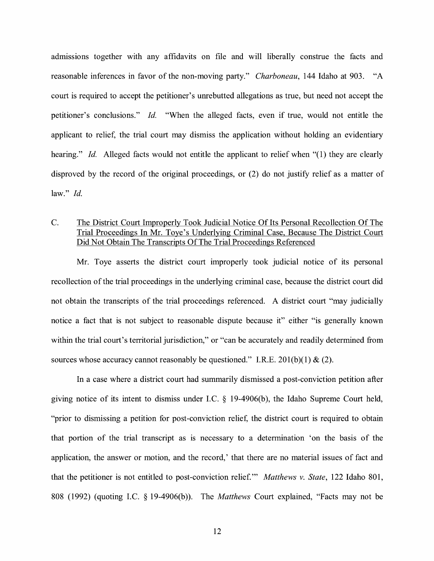admissions together with any affidavits on file and will liberally construe the facts and reasonable inferences in favor of the non-moving party." *Charboneau,* 144 Idaho at 903. "A court is required to accept the petitioner's unrebutted allegations as true, but need not accept the petitioner's conclusions." *Id.* "When the alleged facts, even if true, would not entitle the applicant to relief, the trial court may dismiss the application without holding an evidentiary hearing." *Id.* Alleged facts would not entitle the applicant to relief when "(1) they are clearly disproved by the record of the original proceedings, or (2) do not justify relief as a matter of law." *Id.* 

### C. The District Court Improperly Took Judicial Notice Of Its Personal Recollection Of The Trial Proceedings In Mr. Toye's Underlying Criminal Case, Because The District Court Did Not Obtain The Transcripts Of The Trial Proceedings Referenced

Mr. Toye asserts the district court improperly took judicial notice of its personal recollection of the trial proceedings in the underlying criminal case, because the district court did not obtain the transcripts of the trial proceedings referenced. A district court "may judicially notice a fact that is not subject to reasonable dispute because it" either "is generally known within the trial court's territorial jurisdiction," or "can be accurately and readily determined from sources whose accuracy cannot reasonably be questioned." I.R.E. 201(b)(1) & (2).

In a case where a district court had summarily dismissed a post-conviction petition after giving notice of its intent to dismiss under I.C.  $\S$  19-4906(b), the Idaho Supreme Court held, "prior to dismissing a petition for post-conviction relief, the district court is required to obtain that portion of the trial transcript as is necessary to a determination 'on the basis of the application, the answer or motion, and the record,' that there are no material issues of fact and that the petitioner is not entitled to post-conviction relief."' *Matthews v. State,* 122 Idaho 801, 808 (1992) (quoting LC. § 19-4906(b)). The *Matthews* Court explained, "Facts may not be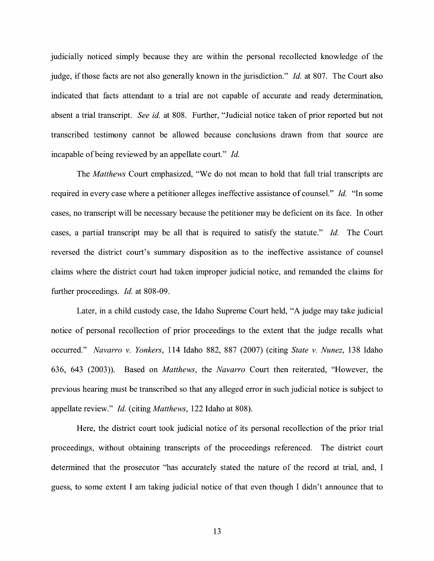judicially noticed simply because they are within the personal recollected knowledge of the judge, if those facts are not also generally known in the jurisdiction." *Id.* at 807. The Court also indicated that facts attendant to a trial are not capable of accurate and ready determination, absent a trial transcript. *See id.* at 808. Further, "Judicial notice taken of prior reported but not transcribed testimony cannot be allowed because conclusions drawn from that source are incapable of being reviewed by an appellate court." *Id.* 

The *Matthews* Court emphasized, "We do not mean to hold that full trial transcripts are required in every case where a petitioner alleges ineffective assistance of counsel." *Id.* "In some cases, no transcript will be necessary because the petitioner may be deficient on its face. In other cases, a partial transcript may be all that is required to satisfy the statute." *Id.* The Court reversed the district court's summary disposition as to the ineffective assistance of counsel claims where the district court had taken improper judicial notice, and remanded the claims for further proceedings. *Id.* at 808-09.

Later, in a child custody case, the Idaho Supreme Court held, "A judge may take judicial notice of personal recollection of prior proceedings to the extent that the judge recalls what occurred." *Navarro v. Yonkers,* 114 Idaho 882, 887 (2007) (citing *State v. Nunez,* 138 Idaho 636, 643 (2003)). Based on *Matthews,* the *Navarro* Court then reiterated, "However, the previous hearing must be transcribed so that any alleged error in such judicial notice is subject to appellate review." *Id.* ( citing *Matthews,* 122 Idaho at 808).

Here, the district court took judicial notice of its personal recollection of the prior trial proceedings, without obtaining transcripts of the proceedings referenced. The district court determined that the prosecutor "has accurately stated the nature of the record at trial, and, I guess, to some extent I am taking judicial notice of that even though I didn't announce that to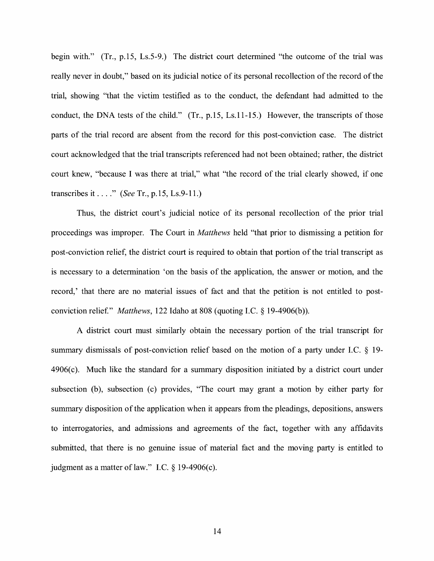begin with." (Tr., p.15, Ls.5-9.) The district court determined "the outcome of the trial was really never in doubt," based on its judicial notice of its personal recollection of the record of the trial, showing "that the victim testified as to the conduct, the defendant had admitted to the conduct, the DNA tests of the child." (Tr., p.15, Ls.11-15.) However, the transcripts of those parts of the trial record are absent from the record for this post-conviction case. The district court acknowledged that the trial transcripts referenced had not been obtained; rather, the district court knew, "because I was there at trial," what "the record of the trial clearly showed, if one transcribes it .... " *(See* Tr., p.15, Ls.9-11.)

Thus, the district court's judicial notice of its personal recollection of the prior trial proceedings was improper. The Court in *Matthews* held "that prior to dismissing a petition for post-conviction relief, the district court is required to obtain that portion of the trial transcript as is necessary to a determination 'on the basis of the application, the answer or motion, and the record,' that there are no material issues of fact and that the petition is not entitled to postconviction relief" *Matthews,* 122 Idaho at 808 (quoting LC. § 19-4906(b)).

A district court must similarly obtain the necessary portion of the trial transcript for summary dismissals of post-conviction relief based on the motion of a party under LC. § 19-  $4906(c)$ . Much like the standard for a summary disposition initiated by a district court under subsection (b), subsection (c) provides, "The court may grant a motion by either party for summary disposition of the application when it appears from the pleadings, depositions, answers to interrogatories, and admissions and agreements of the fact, together with any affidavits submitted, that there is no genuine issue of material fact and the moving party is entitled to judgment as a matter of law." I.C.  $\S$  19-4906(c).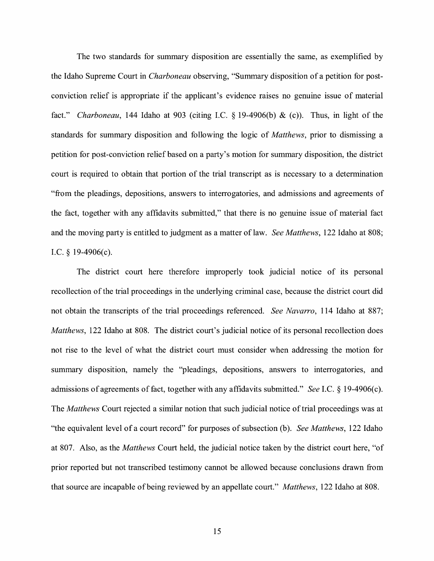The two standards for summary disposition are essentially the same, as exemplified by the Idaho Supreme Court in *Charboneau* observing, "Summary disposition of a petition for postconviction relief is appropriate if the applicant's evidence raises no genuine issue of material fact." *Charboneau,* 144 Idaho at 903 (citing LC. § 19-4906(b) & (c)). Thus, in light of the standards for summary disposition and following the logic of *Matthews,* prior to dismissing a petition for post-conviction relief based on a party's motion for summary disposition, the district court is required to obtain that portion of the trial transcript as is necessary to a determination "from the pleadings, depositions, answers to interrogatories, and admissions and agreements of the fact, together with any affidavits submitted," that there is no genuine issue of material fact and the moving party is entitled to judgment as a matter of law. *See Matthews,* 122 Idaho at 808; I.C.  $§$  19-4906(c).

The district court here therefore improperly took judicial notice of its personal recollection of the trial proceedings in the underlying criminal case, because the district court did not obtain the transcripts of the trial proceedings referenced. *See Navarro,* 114 Idaho at 887; *Matthews,* 122 Idaho at 808. The district court's judicial notice of its personal recollection does not rise to the level of what the district court must consider when addressing the motion for summary disposition, namely the "pleadings, depositions, answers to interrogatories, and admissions of agreements of fact, together with any affidavits submitted." *See* LC.§ 19-4906(c). The *Matthews* Court rejected a similar notion that such judicial notice of trial proceedings was at "the equivalent level of a court record" for purposes of subsection (b ). *See Matthews,* 122 Idaho at 807. Also, as the *Matthews* Court held, the judicial notice taken by the district court here, "of prior reported but not transcribed testimony cannot be allowed because conclusions drawn from that source are incapable ofbeing reviewed by an appellate court." *Matthews,* 122 Idaho at 808.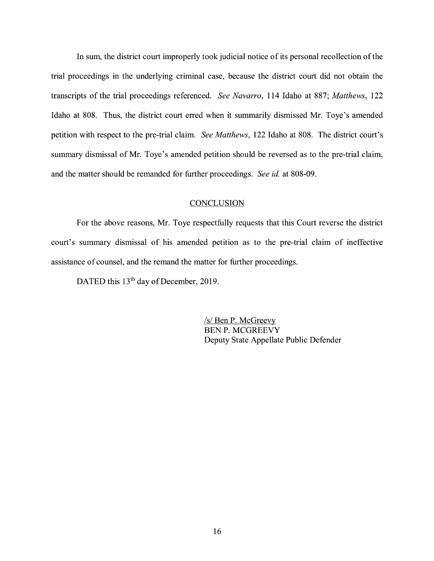In sum, the district court improperly took judicial notice of its personal recollection of the trial proceedings in the underlying criminal case, because the district court did not obtain the transcripts of the trial proceedings referenced. *See Navarro,* 114 Idaho at 887; *Matthews,* 122 Idaho at 808. Thus, the district court erred when it summarily dismissed Mr. Toye's amended petition with respect to the pre-trial claim. *See Matthews,* 122 Idaho at 808. The district court's summary dismissal of Mr. Toye's amended petition should be reversed as to the pre-trial claim, and the matter should be remanded for further proceedings. *See id.* at 808-09.

### **CONCLUSION**

For the above reasons, Mr. Toye respectfully requests that this Court reverse the district court's summary dismissal of his amended petition as to the pre-trial claim of ineffective assistance of counsel, and the remand the matter for further proceedings.

DATED this 13<sup>th</sup> day of December, 2019.

*Isl* Ben P. McGreevy BEN P. MCGREEVY Deputy State Appellate Public Defender